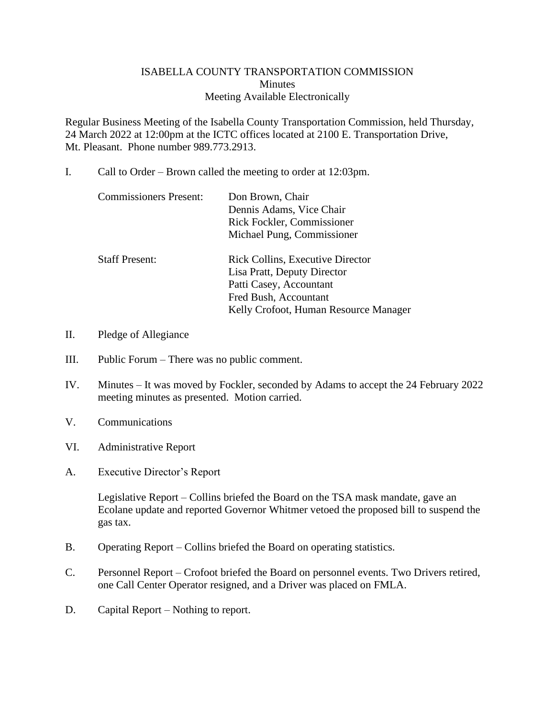## ISABELLA COUNTY TRANSPORTATION COMMISSION **Minutes** Meeting Available Electronically

Regular Business Meeting of the Isabella County Transportation Commission, held Thursday, 24 March 2022 at 12:00pm at the ICTC offices located at 2100 E. Transportation Drive, Mt. Pleasant. Phone number 989.773.2913.

I. Call to Order – Brown called the meeting to order at 12:03pm.

| <b>Commissioners Present:</b> | Don Brown, Chair<br>Dennis Adams, Vice Chair<br>Rick Fockler, Commissioner<br>Michael Pung, Commissioner                                                            |
|-------------------------------|---------------------------------------------------------------------------------------------------------------------------------------------------------------------|
| <b>Staff Present:</b>         | <b>Rick Collins, Executive Director</b><br>Lisa Pratt, Deputy Director<br>Patti Casey, Accountant<br>Fred Bush, Accountant<br>Kelly Crofoot, Human Resource Manager |

- II. Pledge of Allegiance
- III. Public Forum There was no public comment.
- IV. Minutes It was moved by Fockler, seconded by Adams to accept the 24 February 2022 meeting minutes as presented. Motion carried.
- V. Communications
- VI. Administrative Report
- A. Executive Director's Report

Legislative Report – Collins briefed the Board on the TSA mask mandate, gave an Ecolane update and reported Governor Whitmer vetoed the proposed bill to suspend the gas tax.

- B. Operating Report Collins briefed the Board on operating statistics.
- C. Personnel Report Crofoot briefed the Board on personnel events. Two Drivers retired, one Call Center Operator resigned, and a Driver was placed on FMLA.
- D. Capital Report Nothing to report.